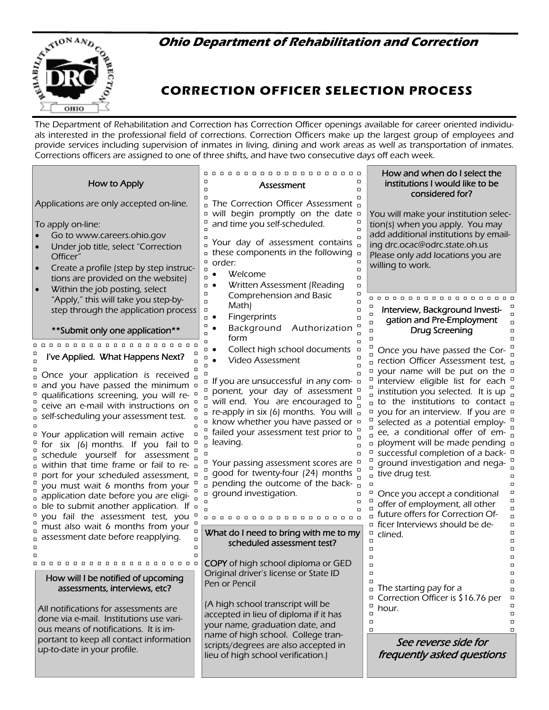## **Ohio Department of Rehabilitation and Correction**



# **CORRECTION OFFICER SELECTION PROCESS**

The Department of Rehabilitation and Correction has Correction Officer openings available for career oriented individuals interested in the professional field of corrections. Correction Officers make up the largest group of employees and provide services including supervision of inmates in living, dining and work areas as well as transportation of inmates. Corrections officers are assigned to one of three shifts, and have two consecutive days off each week.

## How to Apply

Applications are only accepted on-line.

To apply on-line:

- Go to www.careers.ohio.gov
- Under job title, select "Correction Officer"
- Create a profile (step by step instructions are provided on the website)
- Within the job posting, select "Apply," this will take you step-bystep through the application process

### \*\*Submit only one application\*\*

#### $\Box$

 $\Box$ 

#### $\Box$ I've Applied. What Happens Next?  $\Box$  $\Box$

 $\Box$ Once your application is received  $\overline{a}$  $\Box$ and you have passed the minimum  $\Box$  $\Box$  $\Box$ qualifications screening, you will re- $\Box$  $\Box$  $\Box$ ceive an e-mail with instructions on  $\Box$  self-scheduling your assessment test.  $\Box$  $\Box$  $\Box$ Your application will remain active  $\Box$ 

for six (6) months. If you fail to  $\Box$  $\Box$  $\bar{a}$  schedule yourself for assessment  $\mathbf{r}$ within that time frame or fail to re- $\Box$ port for your scheduled assessment,  $\Box$  $\Box$ you must wait 6 months from your  $\Box$  $\Box$ a application date before you are eligi- $\Box$  $\Box$ ble to submit another application. If  $\square$  $\Box$ you fail the assessment test, you  $\Box$ must also wait 6 months from your  $\frac{1}{n}$  $\Box$  $a$  assessment date before reapplying.  $\Box$  $\Box$  $\Box$  $\Box$  $\Box$ 

How will I be notified of upcoming assessments, interviews, etc?

 $\Box$ 

All notifications for assessments are done via e-mail. Institutions use various means of notifications. It is important to keep all contact information up-to-date in your profile.

 $\Box$  $\Box$ **Assessment**  $\Box$  $\Box$  $\Box$  $\Box$ The Correction Officer Assessment  $\Box$  $\Box$ will begin promptly on the date  $\Box$  $\Box$  $\Box$ and time you self-scheduled.  $\Box$  $\Box$  $\Box$  $\Box$ Your day of assessment contains  $\Box$  $\Box$  these components in the following  $\Box$  $\Box$  $\Box$ order:  $\Box$  $\Box$ • Welcome  $\Box$  $\Box$  Written Assessment (Reading  $\Box$  $\Box$  $\Box$ Comprehension and Basic  $\Box$  $\Box$ Math)  $\Box$  $\Box$  $\Box$  $\Box$  $\bullet$  Fingerprints  $\Box$  $\Box$  $\Box$  $\Box$ • Background Authorization  $\Box$  $\Box$ form  $\Box$  $\Box$  $\Box$ • Collect high school documents  $\Box$  $\Box$  $\Box$  Video Assessment  $\Box$  $\Box$  $\Box$  $\Box$  $\Box$  $\Box$  $\Box$  $\Box$  If you are unsuccessful in any com-  $\Box$  $\Box$ ponent, your day of assessment <sup>o</sup>  $\Box$ will end. You are encouraged to  $\Box$  $\Box$  $\Box$  re-apply in six (6) months. You will  $\Box$  $\Box$  $\Box$  $\Box$ know whether you have passed or  $\Box$  $\Box$  $\Box$  $\Box$ failed your assessment test prior to  $\Box$ leaving.  $\Box$  $\Box$  $\Box$  $\Box$  $\Box$  $\Box$ Your passing assessment scores are  $\Box$  $\Box$  $\Box$ good for twenty-four (24) months  $\Box$  $\Box$  $\Box$ pending the outcome of the back- $\Box$  $\Box$ ground investigation.  $\Box$  $\Box$  $\Box$  $\Box$  $\Box$  $\Box$  $\Box$  $\Box$  $\Box$ 0000000000000000000 What do I need to bring with me to my  $\Box$  $\overline{a}$ scheduled assessment test?  $\Box$  $\Box$ COPY of high school diploma or GED  $\Box$ Original driver's license or State ID  $\Box$  $\Box$ Pen or Pencil  $\Box$ (A high school transcript will be  $\Box$  $\Box$ accepted in lieu of diploma if it has  $\Box$ your name, graduation date, and  $\Box$ name of high school. College transcripts/degrees are also accepted in

lieu of high school verification.)

### How and when do I select the institutions I would like to be considered for?

You will make your institution selection(s) when you apply. You may add additional institutions by emailing drc.ocac@odrc.state.oh.us Please only add locations you are willing to work.

## Interview, Background Investigation and Pre-Employment Drug Screening

 $\Box$ 

 $\Box$ 

 $\Box$ 

 $\Box$ 

 $\overline{a}$ 

 $\Box$ 

 $\Box$ 

 $\Box$ 

 $\Box$ 

 $\Box$ 

 $\Box$ 

 $\Box$ 

 $\Box$ 

 $\Box$  $\Box$  $\Box$ 

 $\Box$ 

 $\Box$ 

 $\Box$ 

 $\Box$ 

Once you have passed the Cor- $\Box$ rection Officer Assessment test, your name will be put on the interview eligible list for each  $\Box$ institution you selected. It is up  $\frac{1}{n}$ to the institutions to contact you for an interview. If you are  $\Box$ selected as a potential employ- $\overline{a}$  ee, a conditional offer of em**p** ployment will be made pending **p** successful completion of a back- $\Box$ ground investigation and nega- $\Box$ tive drug test.  $\Box$  $\Box$  $\Box$ Once you accept a conditional  $\Box$ offer of employment, all other  $\Box$ 

future offers for Correction Officer Interviews should be declined.

The starting pay for a Correction Officer is \$16.76 per hour.

See reverse side for frequently asked questions